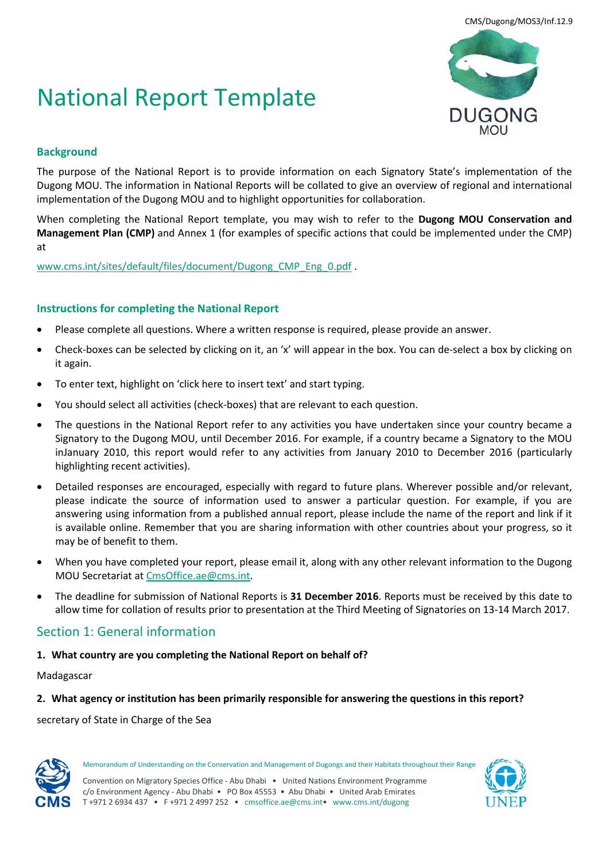# National Report Template



# **Background**

The purpose of the National Report is to provide information on each Signatory State's implementation of the Dugong MOU. The information in National Reports will be collated to give an overview of regional and international implementation of the Dugong MOU and to highlight opportunities for collaboration.

When completing the National Report template, you may wish to refer to the **Dugong MOU Conservation and Management Plan (CMP)** and Annex 1 (for examples of specific actions that could be implemented under the CMP) at

[www.cms.int/sites/default/files/document/Dugong\\_CMP\\_Eng\\_0.pdf](http://www.cms.int/sites/default/files/document/Dugong_CMP_Eng_0.pdf) .

## **Instructions for completing the National Report**

- Please complete all questions. Where a written response is required, please provide an answer.
- Check-boxes can be selected by clicking on it, an 'x' will appear in the box. You can de-select a box by clicking on it again.
- To enter text, highlight on 'click here to insert text' and start typing.
- You should select all activities (check-boxes) that are relevant to each question.
- The questions in the National Report refer to any activities you have undertaken since your country became a Signatory to the Dugong MOU, until December 2016. For example, if a country became a Signatory to the MOU inJanuary 2010, this report would refer to any activities from January 2010 to December 2016 (particularly highlighting recent activities).
- Detailed responses are encouraged, especially with regard to future plans. Wherever possible and/or relevant, please indicate the source of information used to answer a particular question. For example, if you are answering using information from a published annual report, please include the name of the report and link if it is available online. Remember that you are sharing information with other countries about your progress, so it may be of benefit to them.
- When you have completed your report, please email it, along with any other relevant information to the Dugong MOU Secretariat at [CmsOffice.ae@cms.int.](mailto:CmsOffice.ae@cms.int)
- The deadline for submission of National Reports is **31 December 2016**. Reports must be received by this date to allow time for collation of results prior to presentation at the Third Meeting of Signatories on 13-14 March 2017.

# Section 1: General information

**1. What country are you completing the National Report on behalf of?**

## Madagascar

#### **2. What agency or institution has been primarily responsible for answering the questions in this report?**

#### secretary of State in Charge of the Sea



Memorandum of Understanding on the Conservation and Management of Dugongs and their Habitats throughout their Range

Convention on Migratory Species Office - Abu Dhabi • United Nations Environment Programme c/o Environment Agency - Abu Dhabi • PO Box 45553 • Abu Dhabi • United Arab Emirates T +971 2 6934 437 • F +971 2 4997 252 • cmsoffice.ae@cms.int• www.cms.int/dugong

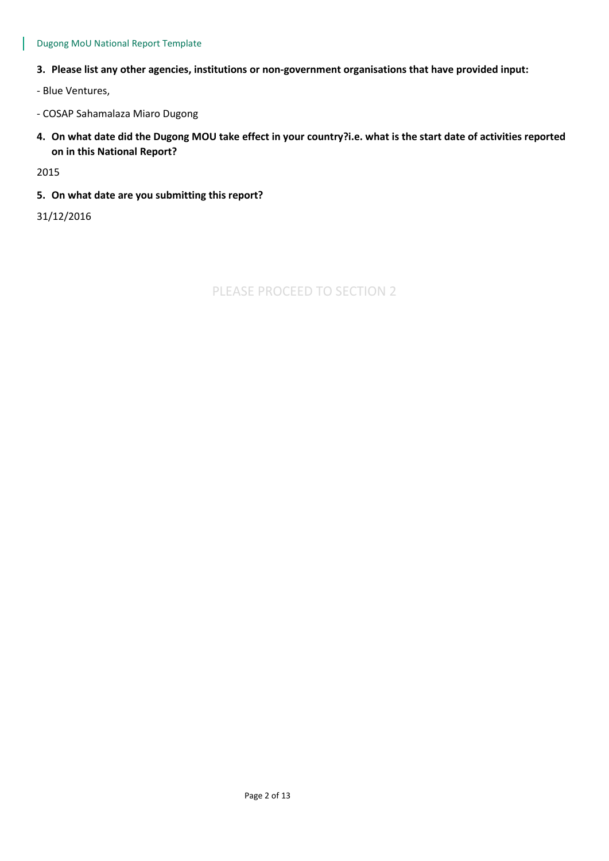#### Dugong MoU National Report Template

#### **3. Please list any other agencies, institutions or non-government organisations that have provided input:**

- Blue Ventures,

- COSAP Sahamalaza Miaro Dugong
- **4. On what date did the Dugong MOU take effect in your country?i.e. what is the start date of activities reported on in this National Report?**

2015

**5. On what date are you submitting this report?** 

31/12/2016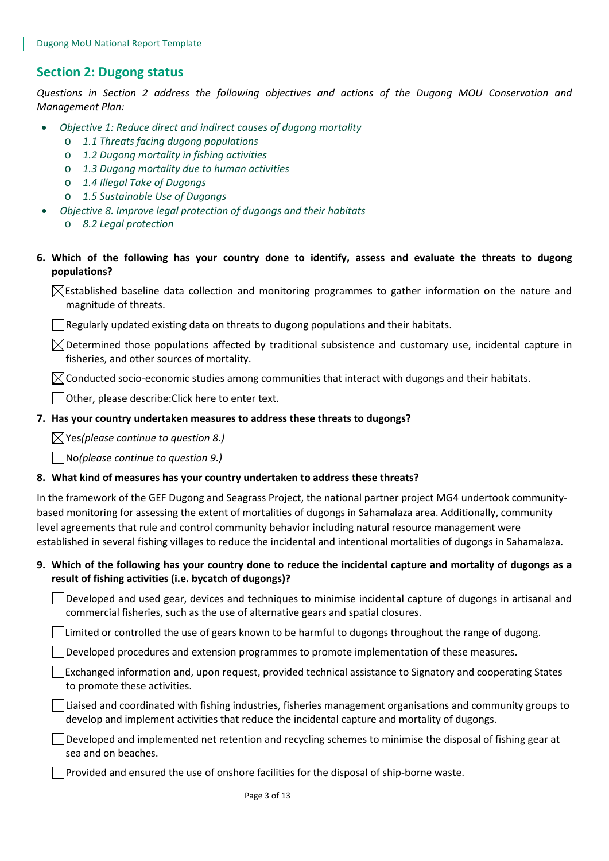# **Section 2: Dugong status**

*Questions in Section 2 address the following objectives and actions of the Dugong MOU Conservation and Management Plan:* 

- *Objective 1: Reduce direct and indirect causes of dugong mortality*
	- o *1.1 Threats facing dugong populations*
	- o *1.2 Dugong mortality in fishing activities*
	- o *1.3 Dugong mortality due to human activities*
	- o *1.4 Illegal Take of Dugongs*
	- o *1.5 Sustainable Use of Dugongs*
	- *Objective 8. Improve legal protection of dugongs and their habitats*
		- o *8.2 Legal protection*
- **6. Which of the following has your country done to identify, assess and evaluate the threats to dugong populations?**

 $\boxtimes$ Established baseline data collection and monitoring programmes to gather information on the nature and magnitude of threats.

 $\vert$  Regularly updated existing data on threats to dugong populations and their habitats.

 $\boxtimes$ Determined those populations affected by traditional subsistence and customary use, incidental capture in fisheries, and other sources of mortality.

 $\boxtimes$ Conducted socio-economic studies among communities that interact with dugongs and their habitats.

Other, please describe:Click here to enter text.

#### **7. Has your country undertaken measures to address these threats to dugongs?**

Yes*(please continue to question 8.)*

No*(please continue to question 9.)*

#### **8. What kind of measures has your country undertaken to address these threats?**

In the framework of the GEF Dugong and Seagrass Project, the national partner project MG4 undertook communitybased monitoring for assessing the extent of mortalities of dugongs in Sahamalaza area. Additionally, community level agreements that rule and control community behavior including natural resource management were established in several fishing villages to reduce the incidental and intentional mortalities of dugongs in Sahamalaza.

# **9. Which of the following has your country done to reduce the incidental capture and mortality of dugongs as a result of fishing activities (i.e. bycatch of dugongs)?**

Developed and used gear, devices and techniques to minimise incidental capture of dugongs in artisanal and commercial fisheries, such as the use of alternative gears and spatial closures.

 $\Box$  Limited or controlled the use of gears known to be harmful to dugongs throughout the range of dugong.

Developed procedures and extension programmes to promote implementation of these measures.

Exchanged information and, upon request, provided technical assistance to Signatory and cooperating States to promote these activities.

Liaised and coordinated with fishing industries, fisheries management organisations and community groups to develop and implement activities that reduce the incidental capture and mortality of dugongs.

 $\vert \ \vert$  Developed and implemented net retention and recycling schemes to minimise the disposal of fishing gear at sea and on beaches.

Provided and ensured the use of onshore facilities for the disposal of ship-borne waste.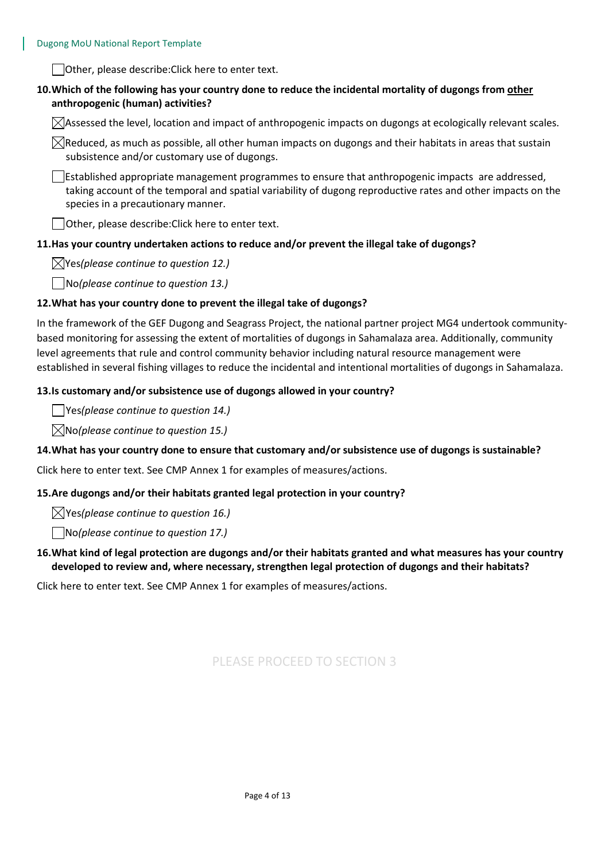Other, please describe:Click here to enter text.

## **10.Which of the following has your country done to reduce the incidental mortality of dugongs from other anthropogenic (human) activities?**

 $\boxtimes$ Assessed the level, location and impact of anthropogenic impacts on dugongs at ecologically relevant scales.

 $\boxtimes$ Reduced, as much as possible, all other human impacts on dugongs and their habitats in areas that sustain subsistence and/or customary use of dugongs.

 $\Box$ Established appropriate management programmes to ensure that anthropogenic impacts are addressed, taking account of the temporal and spatial variability of dugong reproductive rates and other impacts on the species in a precautionary manner.

Other, please describe:Click here to enter text.

#### **11.Has your country undertaken actions to reduce and/or prevent the illegal take of dugongs?**

Yes*(please continue to question 12.)*

No*(please continue to question 13.)*

#### **12.What has your country done to prevent the illegal take of dugongs?**

In the framework of the GEF Dugong and Seagrass Project, the national partner project MG4 undertook communitybased monitoring for assessing the extent of mortalities of dugongs in Sahamalaza area. Additionally, community level agreements that rule and control community behavior including natural resource management were established in several fishing villages to reduce the incidental and intentional mortalities of dugongs in Sahamalaza.

#### **13.Is customary and/or subsistence use of dugongs allowed in your country?**

Yes*(please continue to question 14.)*

No*(please continue to question 15.)*

#### **14.What has your country done to ensure that customary and/or subsistence use of dugongs is sustainable?**

Click here to enter text. See CMP Annex 1 for examples of measures/actions.

#### **15.Are dugongs and/or their habitats granted legal protection in your country?**

Yes*(please continue to question 16.)*

No*(please continue to question 17.)*

## **16.What kind of legal protection are dugongs and/or their habitats granted and what measures has your country developed to review and, where necessary, strengthen legal protection of dugongs and their habitats?**

Click here to enter text. See CMP Annex 1 for examples of measures/actions.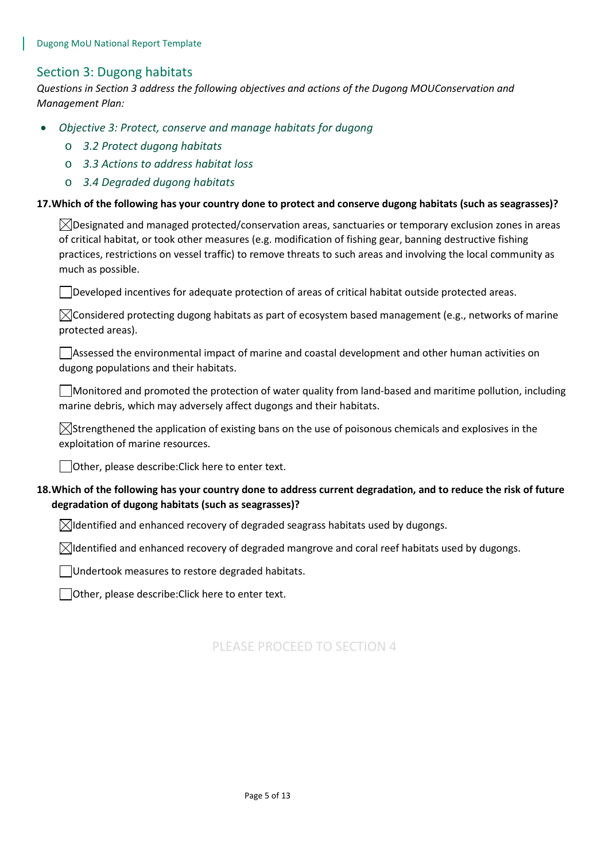# Section 3: Dugong habitats

*Questions in Section 3 address the following objectives and actions of the Dugong MOUConservation and Management Plan:* 

- *Objective 3: Protect, conserve and manage habitats for dugong*
	- o *3.2 Protect dugong habitats*
	- o *3.3 Actions to address habitat loss*
	- o *3.4 Degraded dugong habitats*

#### **17.Which of the following has your country done to protect and conserve dugong habitats (such as seagrasses)?**

 $\boxtimes$ Designated and managed protected/conservation areas, sanctuaries or temporary exclusion zones in areas of critical habitat, or took other measures (e.g. modification of fishing gear, banning destructive fishing practices, restrictions on vessel traffic) to remove threats to such areas and involving the local community as much as possible.

Developed incentives for adequate protection of areas of critical habitat outside protected areas.

 $\bowtie$ Considered protecting dugong habitats as part of ecosystem based management (e.g., networks of marine protected areas).

Assessed the environmental impact of marine and coastal development and other human activities on dugong populations and their habitats.

Monitored and promoted the protection of water quality from land-based and maritime pollution, including marine debris, which may adversely affect dugongs and their habitats.

 $\boxtimes$ Strengthened the application of existing bans on the use of poisonous chemicals and explosives in the exploitation of marine resources.

Other, please describe:Click here to enter text.

# **18.Which of the following has your country done to address current degradation, and to reduce the risk of future degradation of dugong habitats (such as seagrasses)?**

 $\boxtimes$ Identified and enhanced recovery of degraded seagrass habitats used by dugongs.

 $\boxtimes$ Identified and enhanced recovery of degraded mangrove and coral reef habitats used by dugongs.

Undertook measures to restore degraded habitats.

Other, please describe: Click here to enter text.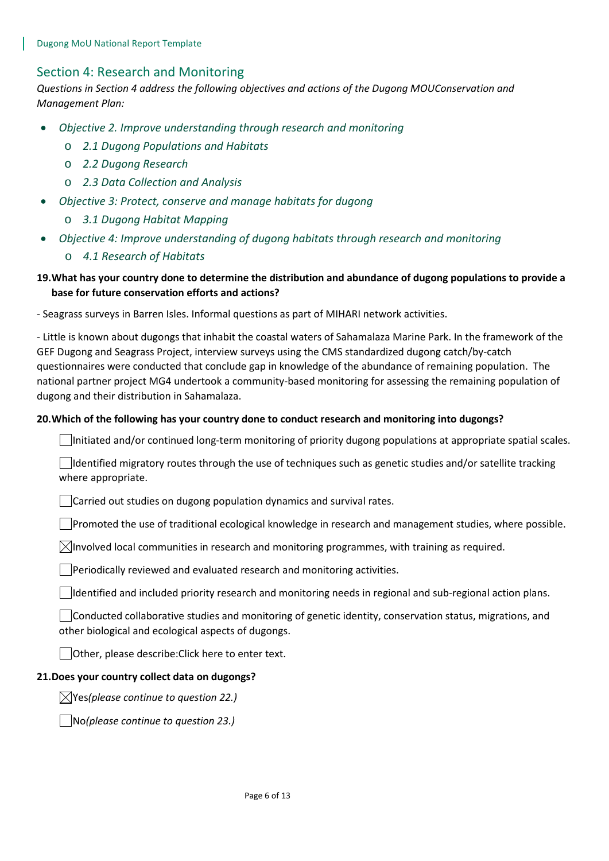# Section 4: Research and Monitoring

*Questions in Section 4 address the following objectives and actions of the Dugong MOUConservation and Management Plan:* 

- *Objective 2. Improve understanding through research and monitoring* 
	- o *2.1 Dugong Populations and Habitats*
	- o *2.2 Dugong Research*
	- o *2.3 Data Collection and Analysis*
- *Objective 3: Protect, conserve and manage habitats for dugong*
	- o *3.1 Dugong Habitat Mapping*
- *Objective 4: Improve understanding of dugong habitats through research and monitoring*
	- o *4.1 Research of Habitats*

## **19.What has your country done to determine the distribution and abundance of dugong populations to provide a base for future conservation efforts and actions?**

- Seagrass surveys in Barren Isles. Informal questions as part of MIHARI network activities.

- Little is known about dugongs that inhabit the coastal waters of Sahamalaza Marine Park. In the framework of the GEF Dugong and Seagrass Project, interview surveys using the CMS standardized dugong catch/by-catch questionnaires were conducted that conclude gap in knowledge of the abundance of remaining population. The national partner project MG4 undertook a community-based monitoring for assessing the remaining population of dugong and their distribution in Sahamalaza.

#### **20.Which of the following has your country done to conduct research and monitoring into dugongs?**

Initiated and/or continued long-term monitoring of priority dugong populations at appropriate spatial scales.

Identified migratory routes through the use of techniques such as genetic studies and/or satellite tracking where appropriate.

Carried out studies on dugong population dynamics and survival rates.

 $\Box$ Promoted the use of traditional ecological knowledge in research and management studies, where possible.

 $\boxtimes$ Involved local communities in research and monitoring programmes, with training as required.

 $\Box$ Periodically reviewed and evaluated research and monitoring activities.

 $\Box$ Identified and included priority research and monitoring needs in regional and sub-regional action plans.

Conducted collaborative studies and monitoring of genetic identity, conservation status, migrations, and other biological and ecological aspects of dugongs.

Other, please describe:Click here to enter text.

#### **21.Does your country collect data on dugongs?**

Yes*(please continue to question 22.)*

No*(please continue to question 23.)*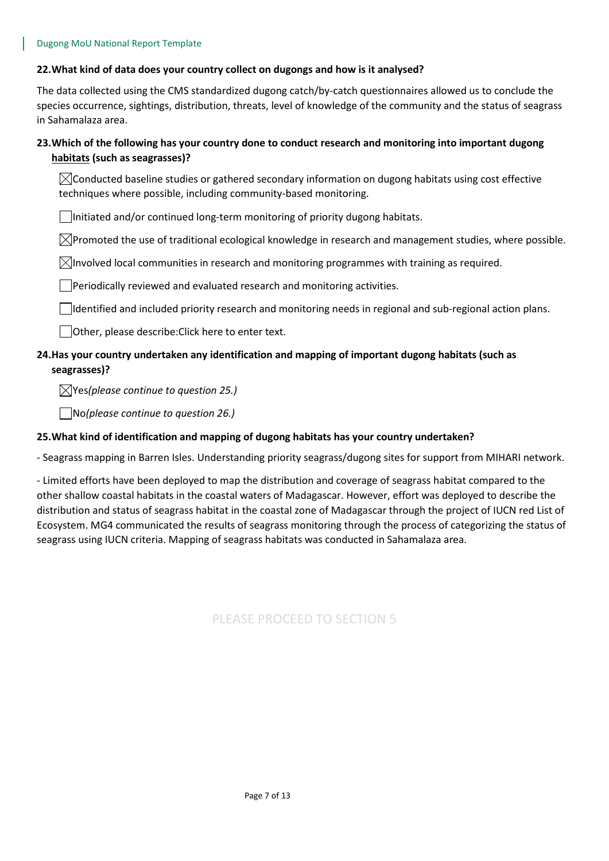#### **22.What kind of data does your country collect on dugongs and how is it analysed?**

The data collected using the CMS standardized dugong catch/by-catch questionnaires allowed us to conclude the species occurrence, sightings, distribution, threats, level of knowledge of the community and the status of seagrass in Sahamalaza area.

# **23.Which of the following has your country done to conduct research and monitoring into important dugong habitats (such as seagrasses)?**

 $\boxtimes$ Conducted baseline studies or gathered secondary information on dugong habitats using cost effective techniques where possible, including community-based monitoring.

Initiated and/or continued long-term monitoring of priority dugong habitats.

 $\boxtimes$ Promoted the use of traditional ecological knowledge in research and management studies, where possible.

 $\boxtimes$ Involved local communities in research and monitoring programmes with training as required.

Periodically reviewed and evaluated research and monitoring activities.

 $\Box$ Identified and included priority research and monitoring needs in regional and sub-regional action plans.

Other, please describe:Click here to enter text.

## **24.Has your country undertaken any identification and mapping of important dugong habitats (such as seagrasses)?**

Yes*(please continue to question 25.)*

No*(please continue to question 26.)*

#### **25.What kind of identification and mapping of dugong habitats has your country undertaken?**

- Seagrass mapping in Barren Isles. Understanding priority seagrass/dugong sites for support from MIHARI network.

- Limited efforts have been deployed to map the distribution and coverage of seagrass habitat compared to the other shallow coastal habitats in the coastal waters of Madagascar. However, effort was deployed to describe the distribution and status of seagrass habitat in the coastal zone of Madagascar through the project of IUCN red List of Ecosystem. MG4 communicated the results of seagrass monitoring through the process of categorizing the status of seagrass using IUCN criteria. Mapping of seagrass habitats was conducted in Sahamalaza area.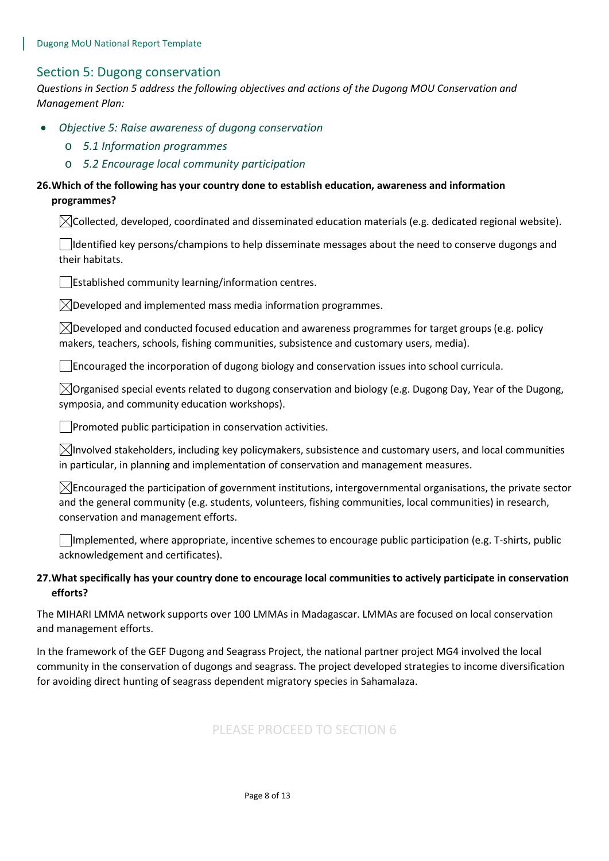## Section 5: Dugong conservation

*Questions in Section 5 address the following objectives and actions of the Dugong MOU Conservation and Management Plan:* 

- *Objective 5: Raise awareness of dugong conservation*
	- o *5.1 Information programmes*
	- o *5.2 Encourage local community participation*

## **26.Which of the following has your country done to establish education, awareness and information programmes?**

 $\boxtimes$ Collected, developed, coordinated and disseminated education materials (e.g. dedicated regional website).

Identified key persons/champions to help disseminate messages about the need to conserve dugongs and their habitats.

Established community learning/information centres.

 $\boxtimes$ Developed and implemented mass media information programmes.

 $\boxtimes$ Developed and conducted focused education and awareness programmes for target groups (e.g. policy makers, teachers, schools, fishing communities, subsistence and customary users, media).

 $\Box$  Encouraged the incorporation of dugong biology and conservation issues into school curricula.

 $\boxtimes$ Organised special events related to dugong conservation and biology (e.g. Dugong Day, Year of the Dugong, symposia, and community education workshops).

**Promoted public participation in conservation activities.** 

 $\bowtie$ Involved stakeholders, including key policymakers, subsistence and customary users, and local communities in particular, in planning and implementation of conservation and management measures.

 $\boxtimes$  Encouraged the participation of government institutions, intergovernmental organisations, the private sector and the general community (e.g. students, volunteers, fishing communities, local communities) in research, conservation and management efforts.

Implemented, where appropriate, incentive schemes to encourage public participation (e.g. T-shirts, public acknowledgement and certificates).

## **27.What specifically has your country done to encourage local communities to actively participate in conservation efforts?**

The MIHARI LMMA network supports over 100 LMMAs in Madagascar. LMMAs are focused on local conservation and management efforts.

In the framework of the GEF Dugong and Seagrass Project, the national partner project MG4 involved the local community in the conservation of dugongs and seagrass. The project developed strategies to income diversification for avoiding direct hunting of seagrass dependent migratory species in Sahamalaza.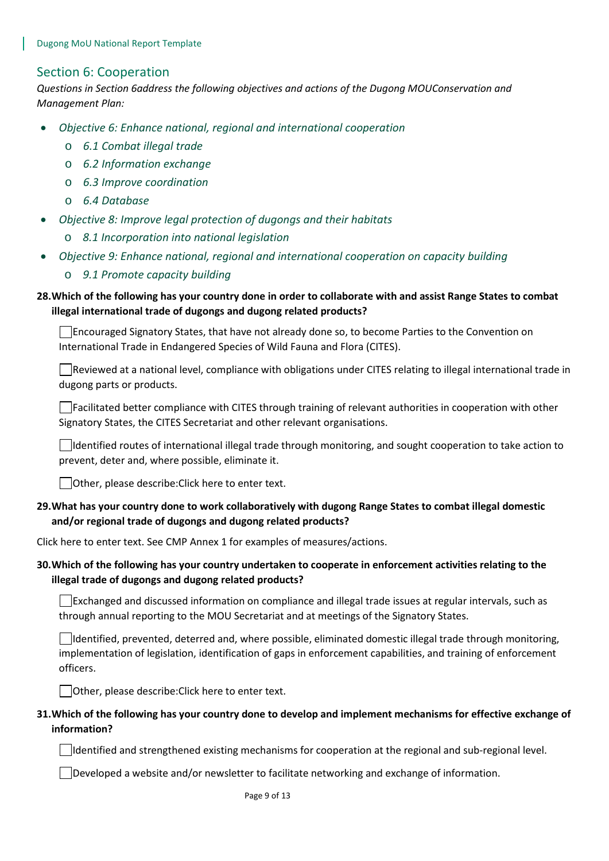## Section 6: Cooperation

*Questions in Section 6address the following objectives and actions of the Dugong MOUConservation and Management Plan:* 

- *Objective 6: Enhance national, regional and international cooperation*
	- o *6.1 Combat illegal trade*
	- o *6.2 Information exchange*
	- o *6.3 Improve coordination*
	- o *6.4 Database*
- *Objective 8: Improve legal protection of dugongs and their habitats*
	- o *8.1 Incorporation into national legislation*
- *Objective 9: Enhance national, regional and international cooperation on capacity building*
	- o *9.1 Promote capacity building*

# **28.Which of the following has your country done in order to collaborate with and assist Range States to combat illegal international trade of dugongs and dugong related products?**

Encouraged Signatory States, that have not already done so, to become Parties to the Convention on International Trade in Endangered Species of Wild Fauna and Flora (CITES).

Reviewed at a national level, compliance with obligations under CITES relating to illegal international trade in dugong parts or products.

 $\Box$ Facilitated better compliance with CITES through training of relevant authorities in cooperation with other Signatory States, the CITES Secretariat and other relevant organisations.

Identified routes of international illegal trade through monitoring, and sought cooperation to take action to prevent, deter and, where possible, eliminate it.

Other, please describe:Click here to enter text.

## **29.What has your country done to work collaboratively with dugong Range States to combat illegal domestic and/or regional trade of dugongs and dugong related products?**

Click here to enter text. See CMP Annex 1 for examples of measures/actions.

## **30.Which of the following has your country undertaken to cooperate in enforcement activities relating to the illegal trade of dugongs and dugong related products?**

 $\Box$  Exchanged and discussed information on compliance and illegal trade issues at regular intervals, such as through annual reporting to the MOU Secretariat and at meetings of the Signatory States.

Identified, prevented, deterred and, where possible, eliminated domestic illegal trade through monitoring, implementation of legislation, identification of gaps in enforcement capabilities, and training of enforcement officers.

Other, please describe:Click here to enter text.

## **31.Which of the following has your country done to develop and implement mechanisms for effective exchange of information?**

 $\Box$ Identified and strengthened existing mechanisms for cooperation at the regional and sub-regional level.

 $\Box$ Developed a website and/or newsletter to facilitate networking and exchange of information.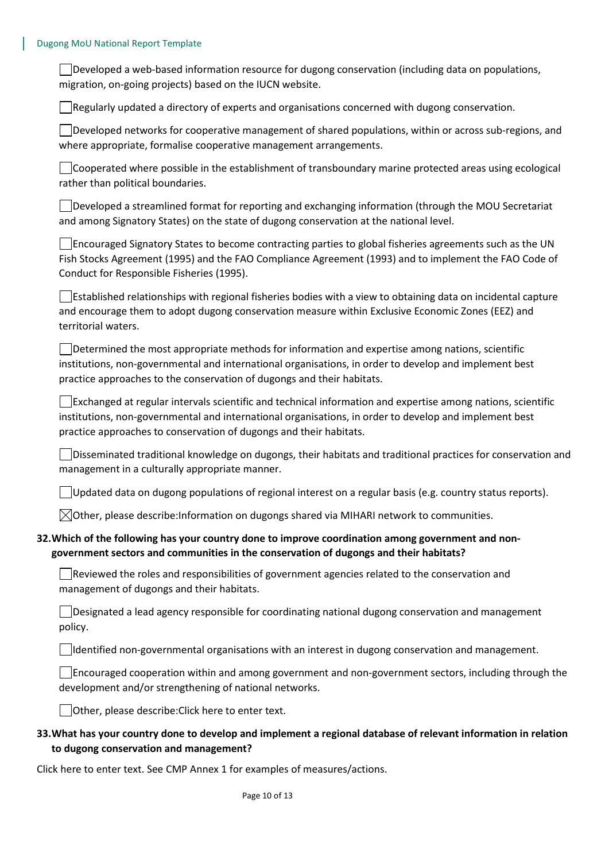Developed a web-based information resource for dugong conservation (including data on populations, migration, on-going projects) based on the IUCN website.

 $\Box$  Regularly updated a directory of experts and organisations concerned with dugong conservation.

 $\Box$ Developed networks for cooperative management of shared populations, within or across sub-regions, and where appropriate, formalise cooperative management arrangements.

Cooperated where possible in the establishment of transboundary marine protected areas using ecological rather than political boundaries.

Developed a streamlined format for reporting and exchanging information (through the MOU Secretariat and among Signatory States) on the state of dugong conservation at the national level.

Encouraged Signatory States to become contracting parties to global fisheries agreements such as the UN Fish Stocks Agreement (1995) and the FAO Compliance Agreement (1993) and to implement the FAO Code of Conduct for Responsible Fisheries (1995).

Established relationships with regional fisheries bodies with a view to obtaining data on incidental capture and encourage them to adopt dugong conservation measure within Exclusive Economic Zones (EEZ) and territorial waters.

Determined the most appropriate methods for information and expertise among nations, scientific institutions, non-governmental and international organisations, in order to develop and implement best practice approaches to the conservation of dugongs and their habitats.

 $\Box$ Exchanged at regular intervals scientific and technical information and expertise among nations, scientific institutions, non-governmental and international organisations, in order to develop and implement best practice approaches to conservation of dugongs and their habitats.

Disseminated traditional knowledge on dugongs, their habitats and traditional practices for conservation and management in a culturally appropriate manner.

Updated data on dugong populations of regional interest on a regular basis (e.g. country status reports).

 $\boxtimes$ Other, please describe:Information on dugongs shared via MIHARI network to communities.

#### **32.Which of the following has your country done to improve coordination among government and nongovernment sectors and communities in the conservation of dugongs and their habitats?**

Reviewed the roles and responsibilities of government agencies related to the conservation and management of dugongs and their habitats.

Designated a lead agency responsible for coordinating national dugong conservation and management policy.

 $\Box$ Identified non-governmental organisations with an interest in dugong conservation and management.

Encouraged cooperation within and among government and non-government sectors, including through the development and/or strengthening of national networks.

Other, please describe:Click here to enter text.

## **33.What has your country done to develop and implement a regional database of relevant information in relation to dugong conservation and management?**

Click here to enter text. See CMP Annex 1 for examples of measures/actions.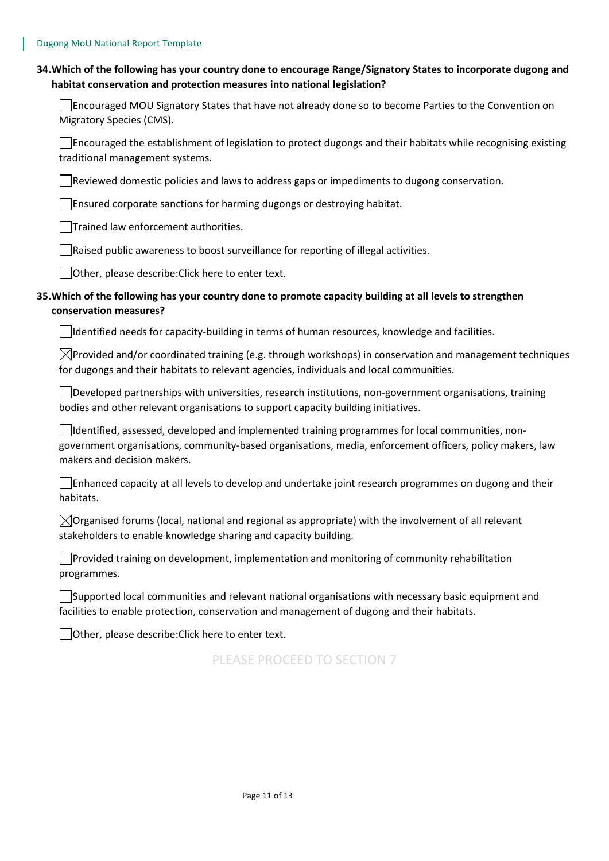| 34. Which of the following has your country done to encourage Range/Signatory States to incorporate dugong and |
|----------------------------------------------------------------------------------------------------------------|
| habitat conservation and protection measures into national legislation?                                        |

| $\Box$ Encouraged MOU Signatory States that have not already done so to become Parties to the Convention on |  |
|-------------------------------------------------------------------------------------------------------------|--|
| Migratory Species (CMS).                                                                                    |  |

**Encouraged the establishment of legislation to protect dugongs and their habitats while recognising existing** traditional management systems.

Reviewed domestic policies and laws to address gaps or impediments to dugong conservation.

**Ensured corporate sanctions for harming dugongs or destroying habitat.** 

Trained law enforcement authorities.

Raised public awareness to boost surveillance for reporting of illegal activities.

Other, please describe:Click here to enter text.

## **35.Which of the following has your country done to promote capacity building at all levels to strengthen conservation measures?**

 $\Box$ Identified needs for capacity-building in terms of human resources, knowledge and facilities.

 $\boxtimes$ Provided and/or coordinated training (e.g. through workshops) in conservation and management techniques for dugongs and their habitats to relevant agencies, individuals and local communities.

Developed partnerships with universities, research institutions, non-government organisations, training bodies and other relevant organisations to support capacity building initiatives.

 $\Box$ Identified, assessed, developed and implemented training programmes for local communities, nongovernment organisations, community-based organisations, media, enforcement officers, policy makers, law makers and decision makers.

 $\Box$  Enhanced capacity at all levels to develop and undertake joint research programmes on dugong and their habitats.

 $\boxtimes$ Organised forums (local, national and regional as appropriate) with the involvement of all relevant stakeholders to enable knowledge sharing and capacity building.

Provided training on development, implementation and monitoring of community rehabilitation programmes.

 $\Box$ Supported local communities and relevant national organisations with necessary basic equipment and facilities to enable protection, conservation and management of dugong and their habitats.

Other, please describe:Click here to enter text.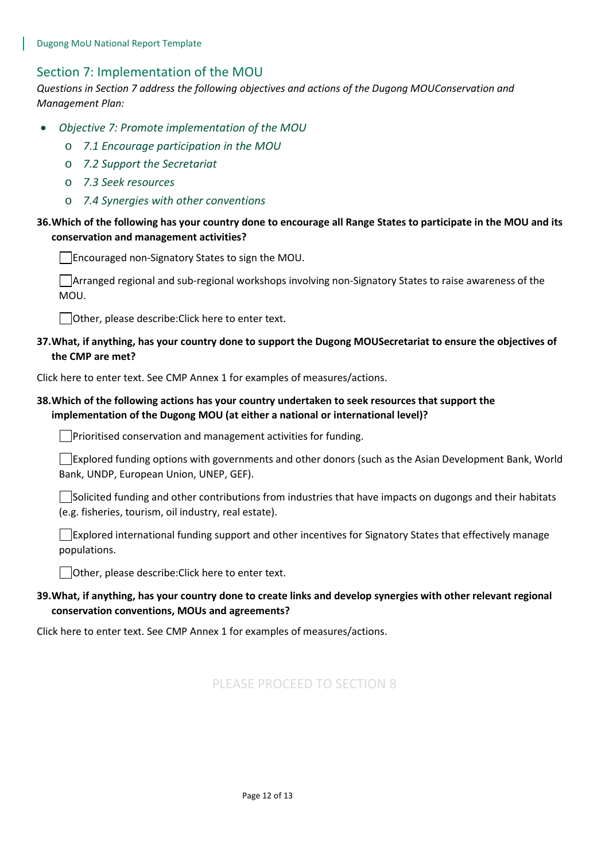# Section 7: Implementation of the MOU

*Questions in Section 7 address the following objectives and actions of the Dugong MOUConservation and Management Plan:* 

- *Objective 7: Promote implementation of the MOU*
	- o *7.1 Encourage participation in the MOU*
	- o *7.2 Support the Secretariat*
	- o *7.3 Seek resources*
	- o *7.4 Synergies with other conventions*

## **36.Which of the following has your country done to encourage all Range States to participate in the MOU and its conservation and management activities?**

Encouraged non-Signatory States to sign the MOU.

Arranged regional and sub-regional workshops involving non-Signatory States to raise awareness of the MOU.

Other, please describe:Click here to enter text.

## **37.What, if anything, has your country done to support the Dugong MOUSecretariat to ensure the objectives of the CMP are met?**

Click here to enter text. See CMP Annex 1 for examples of measures/actions.

## **38.Which of the following actions has your country undertaken to seek resources that support the implementation of the Dugong MOU (at either a national or international level)?**

Prioritised conservation and management activities for funding.

Explored funding options with governments and other donors (such as the Asian Development Bank, World Bank, UNDP, European Union, UNEP, GEF).

 $\Box$ Solicited funding and other contributions from industries that have impacts on dugongs and their habitats (e.g. fisheries, tourism, oil industry, real estate).

Explored international funding support and other incentives for Signatory States that effectively manage populations.

Other, please describe:Click here to enter text.

# **39.What, if anything, has your country done to create links and develop synergies with other relevant regional conservation conventions, MOUs and agreements?**

Click here to enter text. See CMP Annex 1 for examples of measures/actions.